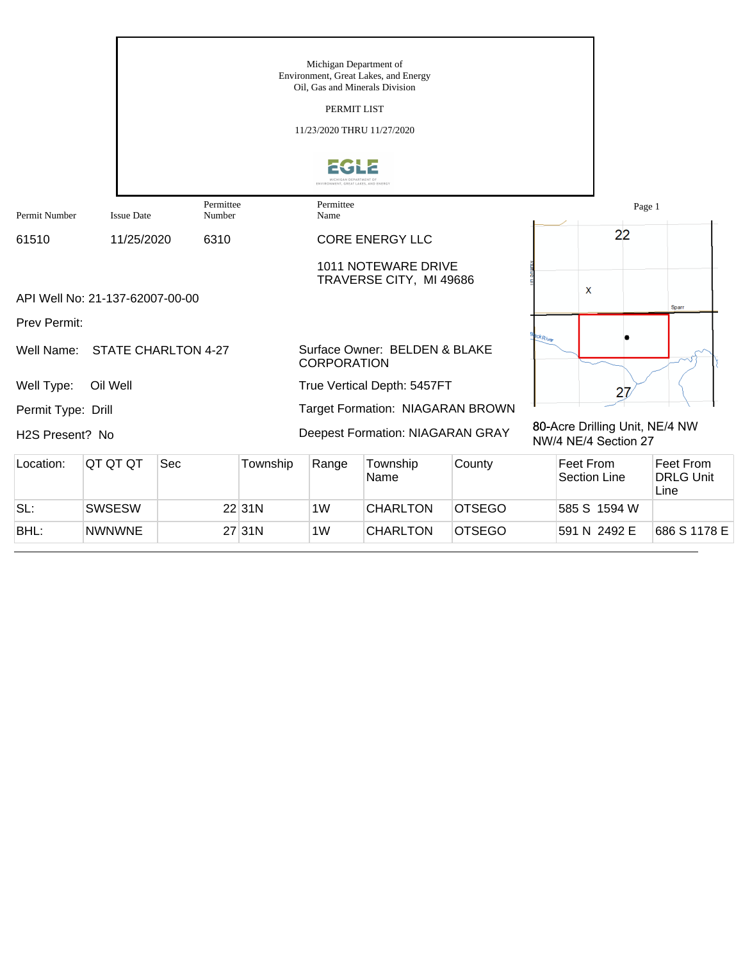|                    |                                 |                            |          | Michigan Department of<br>Oil, Gas and Minerals Division<br>PERMIT LIST<br>11/23/2020 THRU 11/27/2020 | Environment, Great Lakes, and Energy           |        |                    |                                  |                                                        |                                       |
|--------------------|---------------------------------|----------------------------|----------|-------------------------------------------------------------------------------------------------------|------------------------------------------------|--------|--------------------|----------------------------------|--------------------------------------------------------|---------------------------------------|
|                    |                                 |                            |          | ENVIRONMENT, GREAT LAKES, AND ENERG                                                                   |                                                |        |                    |                                  |                                                        |                                       |
| Permit Number      | <b>Issue Date</b>               | Permittee<br>Number        |          | Permittee<br>Name                                                                                     |                                                |        |                    |                                  | Page 1                                                 |                                       |
| 61510              | 11/25/2020                      | 6310                       |          |                                                                                                       | <b>CORE ENERGY LLC</b>                         |        |                    |                                  | 22                                                     |                                       |
|                    | API Well No: 21-137-62007-00-00 |                            |          |                                                                                                       | 1011 NOTEWARE DRIVE<br>TRAVERSE CITY, MI 49686 |        |                    | X                                |                                                        | Sparr                                 |
| Prev Permit:       |                                 |                            |          |                                                                                                       |                                                |        |                    |                                  |                                                        |                                       |
| Well Name:         |                                 | <b>STATE CHARLTON 4-27</b> |          | <b>CORPORATION</b>                                                                                    | Surface Owner: BELDEN & BLAKE                  |        | $\alpha k_{River}$ |                                  |                                                        |                                       |
| Well Type:         | Oil Well                        |                            |          |                                                                                                       | True Vertical Depth: 5457FT                    |        |                    |                                  | 27                                                     |                                       |
| Permit Type: Drill |                                 |                            |          |                                                                                                       | Target Formation: NIAGARAN BROWN               |        |                    |                                  |                                                        |                                       |
| H2S Present? No    |                                 |                            |          |                                                                                                       | Deepest Formation: NIAGARAN GRAY               |        |                    |                                  | 80-Acre Drilling Unit, NE/4 NW<br>NW/4 NE/4 Section 27 |                                       |
| Location:          | QT QT QT                        | Sec                        | Township | Range                                                                                                 | Township<br>Name                               | County |                    | Feet From<br><b>Section Line</b> |                                                        | Feet From<br><b>DRLG Unit</b><br>Line |

SL: SWSESW 22 31N 1W CHARLTON OTSEGO 585 S 1594 W

BHL: NWNWNE 27 31N 1W CHARLTON OTSEGO 591 N 2492 E 686 S 1178 E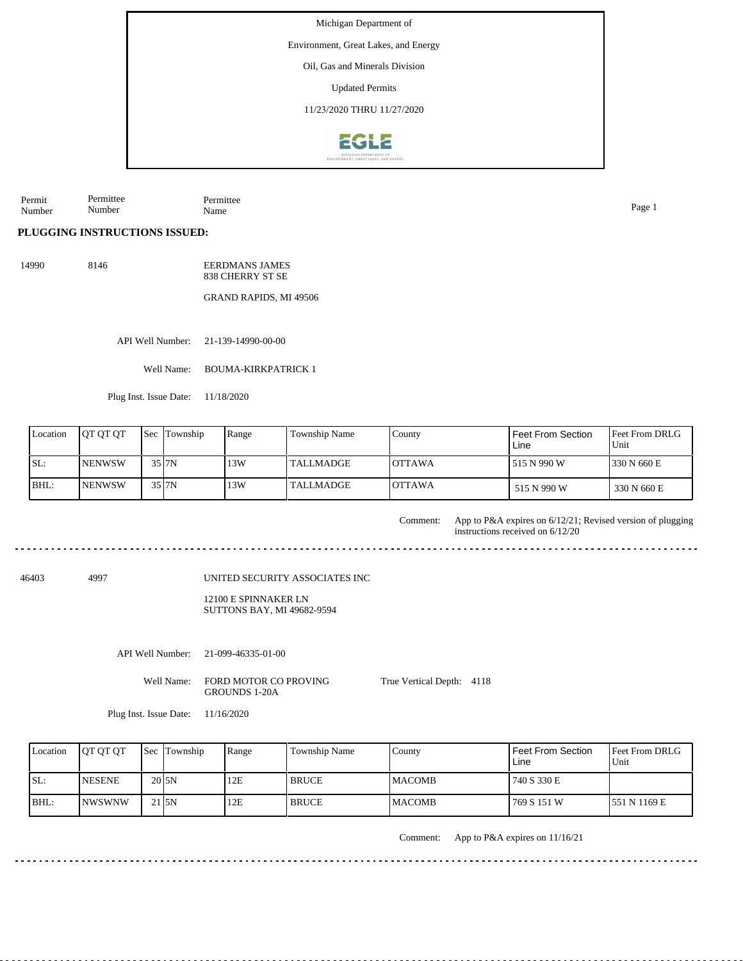Environment, Great Lakes, and Energy

Oil, Gas and Minerals Division

Updated Permits

11/23/2020 THRU 11/27/2020



Permit Number Permittee Number Permittee Name Page 1

## **PLUGGING INSTRUCTIONS ISSUED:**

14990 8146 EERDMANS JAMES 838 CHERRY ST SE

GRAND RAPIDS, MI 49506

API Well Number: 21-139-14990-00-00

Well Name: BOUMA-KIRKPATRICK 1

Plug Inst. Issue Date: 11/18/2020

| Location | <b>IOT OT OT</b> | <b>Sec</b> Township | Range | <b>Township Name</b> | County         | Feet From Section<br>Line | <b>Feet From DRLG</b><br>Unit |
|----------|------------------|---------------------|-------|----------------------|----------------|---------------------------|-------------------------------|
| ISL:     | <b>NENWSW</b>    | $35$ $7N$           | 13W   | l TALLMADGE.         | <b>IOTTAWA</b> | 515 N 990 W               | 1330 N 660 E                  |
| BHL:     | <b>NENWSW</b>    | 35 J7N              | 13W   | l TALLMADGE          | <b>IOTTAWA</b> | 515 N 990 W               | 330 N 660 E                   |

Comment: App to P&A expires on 6/12/21; Revised version of plugging instructions received on 6/12/20 a a a a a 46403 4997 UNITED SECURITY ASSOCIATES INC 12100 E SPINNAKER LN SUTTONS BAY, MI 49682-9594 API Well Number: 21-099-46335-01-00 Well Name: FORD MOTOR CO PROVING True Vertical Depth: 4118 GROUNDS 1-20A Plug Inst. Issue Date: 11/16/2020

|      | Location | <b>IOT OT OT</b> | <b>Sec</b> Township | Range | <b>Township Name</b> | County         | Feet From Section<br>Line | <b>Feet From DRLG</b><br>Unit |
|------|----------|------------------|---------------------|-------|----------------------|----------------|---------------------------|-------------------------------|
| ISL: |          | <b>INESENE</b>   | 20 <sub>J5N</sub>   | 12E   | <b>BRUCE</b>         | <b>IMACOMB</b> | 740 S 330 E               |                               |
|      | BHL:     | <b>INWSWNW</b>   | 21 <sub>5N</sub>    | 12E   | <b>BRUCE</b>         | <b>MACOMB</b>  | 769 S 151 W               | 1551 N 1169 E                 |

Comment: App to P&A expires on 11/16/21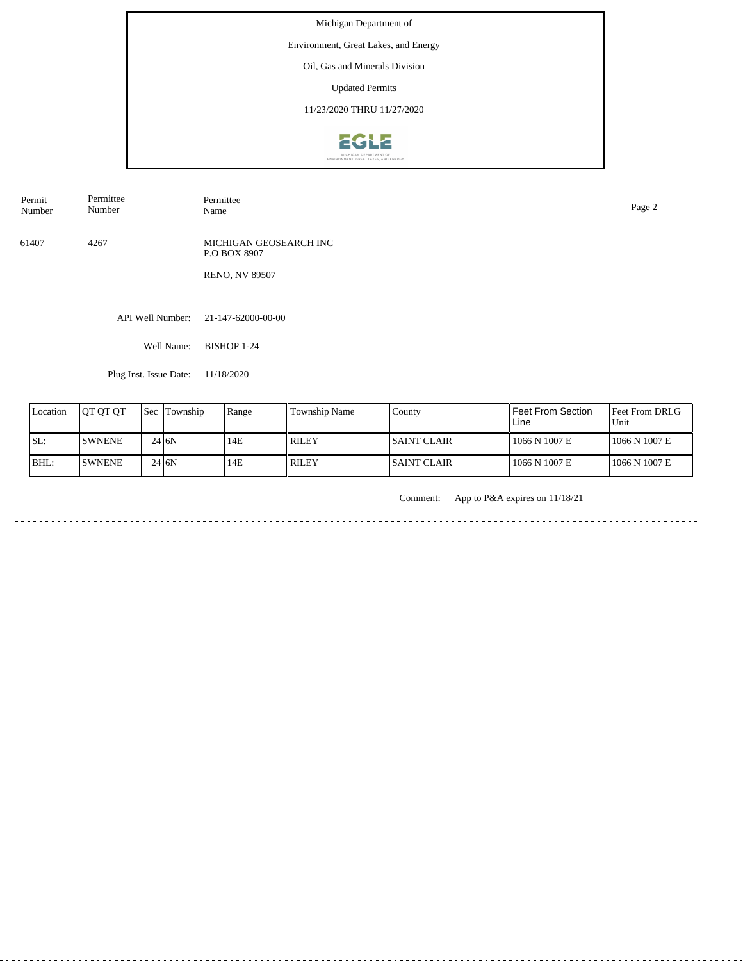Environment, Great Lakes, and Energy

Oil, Gas and Minerals Division

Updated Permits

11/23/2020 THRU 11/27/2020



| Permit | Permittee |
|--------|-----------|
| Number | Number    |

Permittee<br>Name Name Page 2

61407 4267 MICHIGAN GEOSEARCH INC P.O BOX 8907

RENO, NV 89507

API Well Number: 21-147-62000-00-00

Well Name: BISHOP 1-24

Plug Inst. Issue Date: 11/18/2020

| Location | <b>IOT OT OT</b> | <b>Sec Township</b> | Range | Township Name | County              | Feet From Section<br>Line | <b>Feet From DRLG</b><br>Unit |
|----------|------------------|---------------------|-------|---------------|---------------------|---------------------------|-------------------------------|
| SL:      | <b>ISWNENE</b>   | $24$ $6N$           | 14E   | <b>RILEY</b>  | <b>ISAINT CLAIR</b> | 1066 N 1007 E             | 1066 N 1007 E                 |
| BHL:     | <b>ISWNENE</b>   | $24$ $6N$           | 14E   | <b>RILEY</b>  | <b>ISAINT CLAIR</b> | 1066 N 1007 E             | 1066 N 1007 E                 |

Comment: App to P&A expires on 11/18/21

المالون المالون المالون المالي <u>. . . . . . . . . . . . . . . . . .</u> <u>. . . . . . . . . . . . . .</u>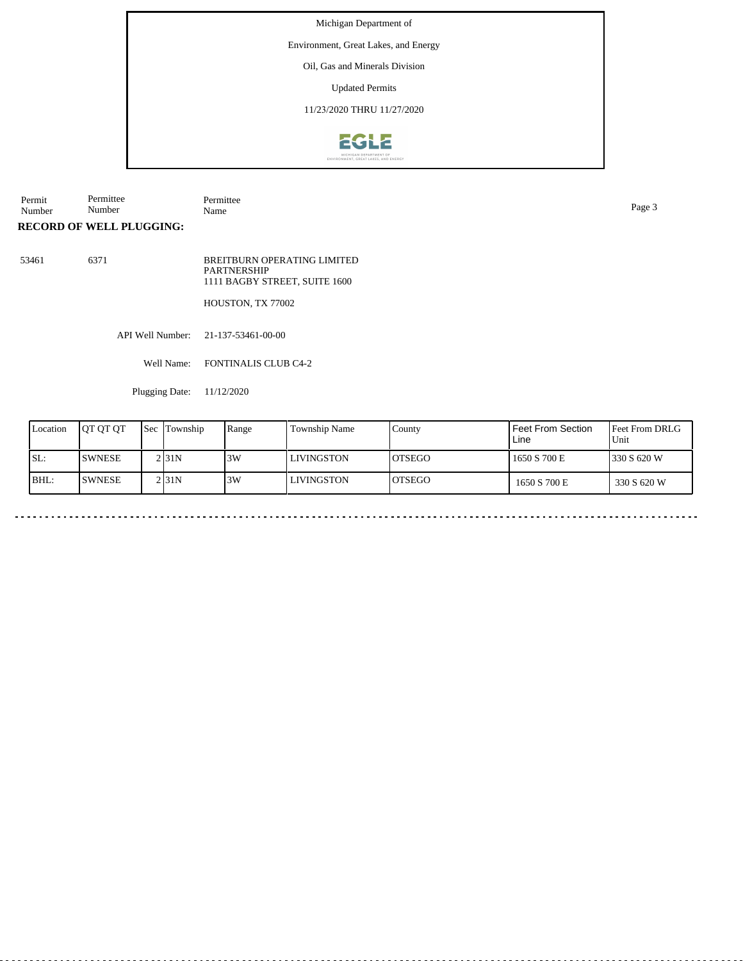Environment, Great Lakes, and Energy

Oil, Gas and Minerals Division

Updated Permits

11/23/2020 THRU 11/27/2020



Permit Number Permittee Number Permittee Name Page 3

**RECORD OF WELL PLUGGING:**

53461 6371 BREITBURN OPERATING LIMITED **PARTNERSHIP** 1111 BAGBY STREET, SUITE 1600

HOUSTON, TX 77002

API Well Number: 21-137-53461-00-00

Well Name: FONTINALIS CLUB C4-2

Plugging Date: 11/12/2020

| Location | <b>IOT OT OT</b> | <b>Sec</b> | Township           | Range | <b>Township Name</b> | County         | l Feet From Section.<br>l Line | <b>IFeet From DRLG</b><br>Unit |
|----------|------------------|------------|--------------------|-------|----------------------|----------------|--------------------------------|--------------------------------|
| ISL:     | <b>ISWNESE</b>   |            | 2 <sub>131</sub> N | 3W    | LIVINGSTON           | <b>IOTSEGO</b> | 1650 S 700 E                   | 330 S 620 W                    |
| BHL:     | <b>ISWNESE</b>   |            | 2 <sub>131</sub> N | 3W    | LIVINGSTON           | <b>OTSEGO</b>  | 1650 S 700 E                   | 330 S 620 W                    |

 $\ddot{\phantom{1}}$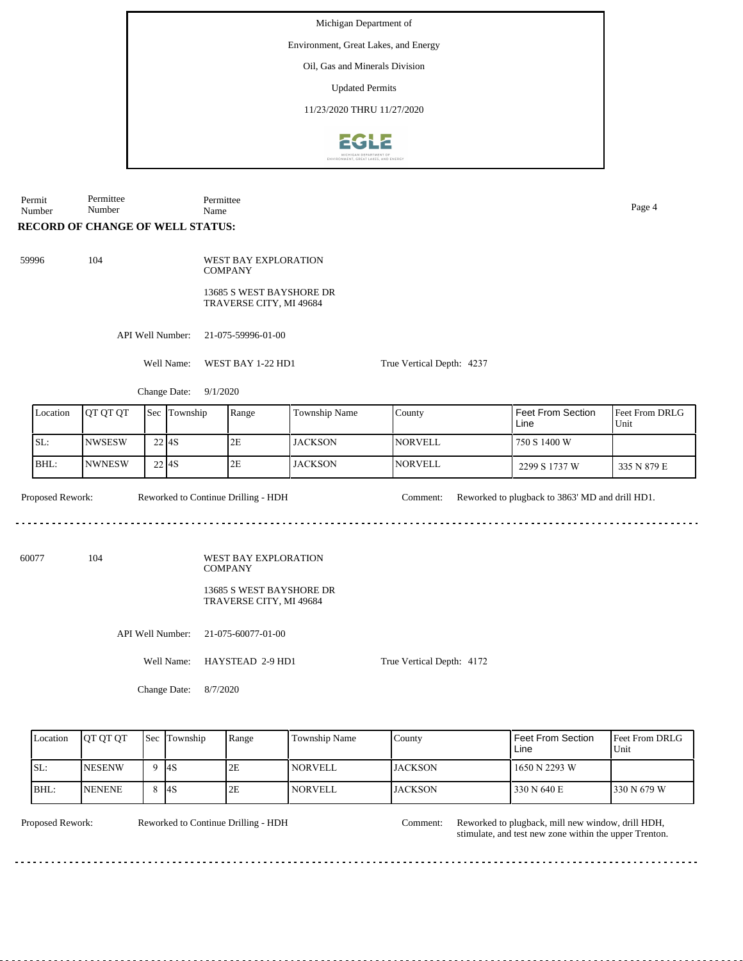Environment, Great Lakes, and Energy

Oil, Gas and Minerals Division

Updated Permits

11/23/2020 THRU 11/27/2020



Permit Number Permittee Number

Permittee Name Page 4

## **RECORD OF CHANGE OF WELL STATUS:**

59996 104 WEST BAY EXPLORATION **COMPANY** 

13685 S WEST BAYSHORE DR TRAVERSE CITY, MI 49684

API Well Number: 21-075-59996-01-00

Well Name: WEST BAY 1-22 HD1

Change Date: 9/1/2020

| Location | <b>IOT OT OT</b> | <b>Sec</b>          | Township | Range | Township Name  | County          | l Feet From Section<br>Line | <b>Feet From DRLG</b><br>Unit |
|----------|------------------|---------------------|----------|-------|----------------|-----------------|-----------------------------|-------------------------------|
| SL:      | INWSESW          | 22 I <sub>4</sub> S |          | 2E    | <b>JACKSON</b> | <b>INORVELL</b> | 750 S 1400 W                |                               |
| IBHL:    | <b>NWNESW</b>    | 22 <sup>4</sup> S   |          | 2E    | <b>JACKSON</b> | <b>INORVELL</b> | 2299 S 1737 W               | 335 N 879 E                   |

Proposed Rework: Reworked to Continue Drilling - HDH Comment: Reworked to plugback to 3863' MD and drill HD1. Reworked to Continue Drilling - HDH 

60077 104 WEST BAY EXPLORATION COMPANY

## 13685 S WEST BAYSHORE DR TRAVERSE CITY, MI 49684

API Well Number: 21-075-60077-01-00

Well Name: HAYSTEAD 2-9 HD1

True Vertical Depth: 4172

True Vertical Depth: 4237

Change Date: 8/7/2020

| Location | <b>OT OT OT</b> | Sec Township | Range | Township Name  | County         | Feet From Section<br>Line | <b>Feet From DRLG</b><br>Unit |
|----------|-----------------|--------------|-------|----------------|----------------|---------------------------|-------------------------------|
| ISL:     | <b>NESENW</b>   | -l4S         | 2E    | <b>NORVELL</b> | <b>JACKSON</b> | 1650 N 2293 W             |                               |
| BHL:     | <b>INENENE</b>  | - 14S        | 2E    | <b>NORVELL</b> | <b>JACKSON</b> | 330 N 640 E               | 1330 N 679 W                  |

Reworked to Continue Drilling - HDH

Comment:

Proposed Rework: Reworked to Continue Drilling - HDH Comment: Reworked to plugback, mill new window, drill HDH, stimulate, and test new zone within the upper Trenton.

. . . . . . . . .